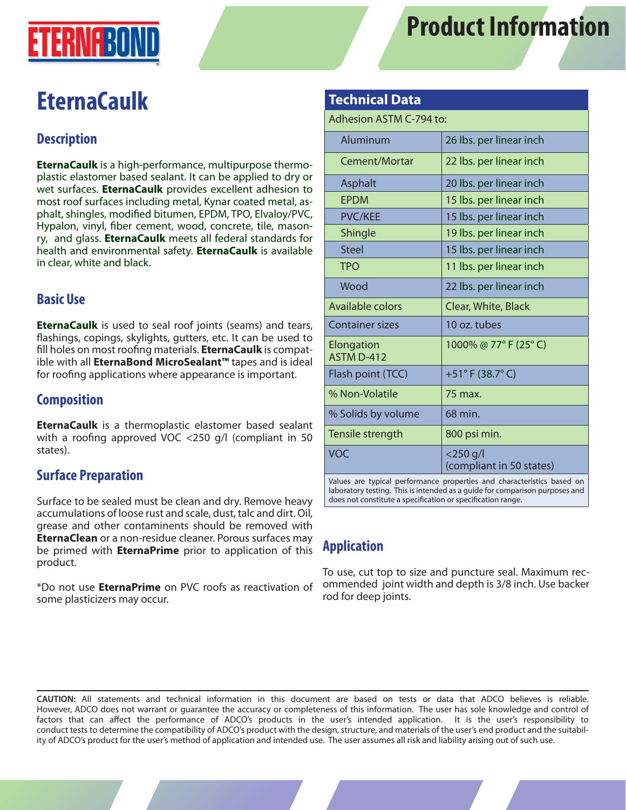



# **EternaCaulk**

## **Description**

**EternaCaulk** is a high-performance, multipurpose thermoplastic elastomer based sealant. It can be applied to dry or wet surfaces. **EternaCaulk** provides excellent adhesion to most roof surfaces including metal, Kynar coated metal, asphalt, shingles, modified bitumen, EPDM, TPO, Elvaloy/PVC, Hypalon, vinyl, fiber cement, wood, concrete, tile, masonry, and glass. **EternaCaulk** meets all federal standards for health and environmental safety. **EternaCaulk** is available in clear, white and black.

## **Basic Use**

**EternaCaulk** is used to seal roof joints (seams) and tears, flashings, copings, skylights, gutters, etc. It can be used to fill holes on most roofing materials. **EternaCaulk** is compatible with all **EternaBond MicroSealant™** tapes and is ideal for roofing applications where appearance is important.

## **Composition**

**EternaCaulk** is a thermoplastic elastomer based sealant with a roofing approved VOC <250 g/l (compliant in 50 states).

### **Surface Preparation**

Surface to be sealed must be clean and dry. Remove heavy accumulations of loose rust and scale, dust, talc and dirt. Oil, grease and other contaminents should be removed with **EternaClean** or a non-residue cleaner. Porous surfaces may be primed with **EternaPrime** prior to application of this product.

\*Do not use **EternaPrime** on PVC roofs as reactivation of some plasticizers may occur.

#### **Technical Data**

Adhesion ASTM C-794 to:

| Aluminum                                                               | 26 lbs. per linear inch                 |
|------------------------------------------------------------------------|-----------------------------------------|
| Cement/Mortar                                                          | 22 lbs. per linear inch                 |
| Asphalt                                                                | 20 lbs. per linear inch                 |
| <b>EPDM</b>                                                            | 15 lbs. per linear inch                 |
| <b>PVC/KEE</b>                                                         | 15 lbs. per linear inch                 |
| Shingle                                                                | 19 lbs. per linear inch                 |
| <b>Steel</b>                                                           | 15 lbs. per linear inch                 |
| <b>TPO</b>                                                             | 11 lbs. per linear inch                 |
| Wood                                                                   | 22 lbs. per linear inch                 |
| Available colors                                                       | Clear, White, Black                     |
| <b>Container sizes</b>                                                 | 10 oz. tubes                            |
| Elongation<br>ASTM D-412                                               | 1000% @ 77° F (25° C)                   |
| Flash point (TCC)                                                      | +51°F (38.7°C)                          |
| % Non-Volatile                                                         | 75 max.                                 |
| % Solids by volume                                                     | 68 min.                                 |
| Tensile strength                                                       | 800 psi min.                            |
| <b>VOC</b>                                                             | $<$ 250 g/l<br>(compliant in 50 states) |
| Values are typical performance properties and characteristics based on |                                         |

laboratory testing. This is intended as a guide for comparison purposes and does not constitute a specification or specification range.

### **Application**

To use, cut top to size and puncture seal. Maximum recommended joint width and depth is 3/8 inch. Use backer rod for deep joints.

**CAUTION:** All statements and technical information in this document are based on tests or data that ADCO believes is reliable. However, ADCO does not warrant or guarantee the accuracy or completeness of this information. The user has sole knowledge and control of factors that can affect the performance of ADCO's products in the user's intended application. It is the user's responsibility to conduct tests to determine the compatibility of ADCO's product with the design, structure, and materials of the user's end product and the suitability of ADCO's product for the user's method of application and intended use. The user assumes all risk and liability arising out of such use.